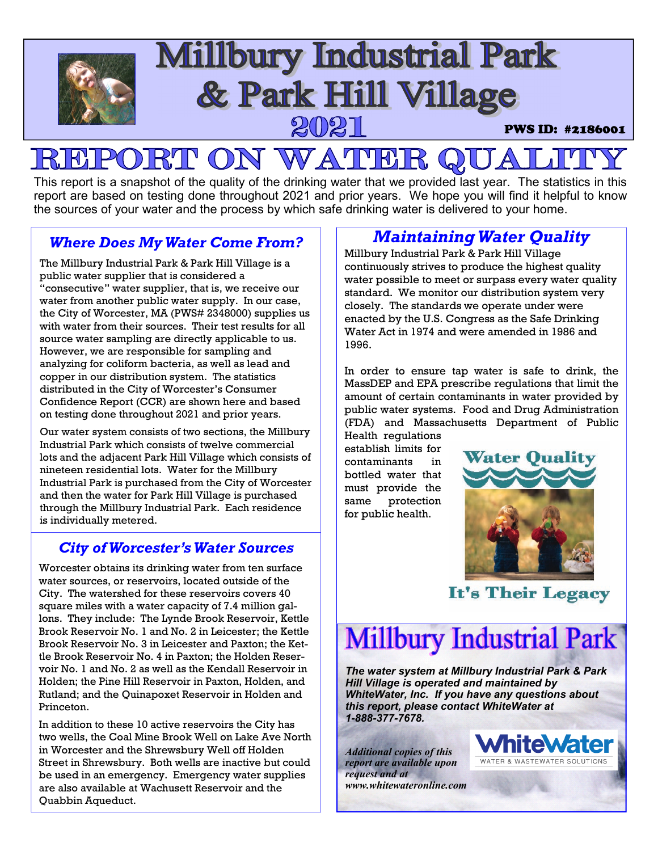

### PORT ON WATER  $R$

This report is a snapshot of the quality of the drinking water that we provided last year. The statistics in this report are based on testing done throughout 2021 and prior years. We hope you will find it helpful to know the sources of your water and the process by which safe drinking water is delivered to your home.

### *Where Does My Water Come From?*

The Millbury Industrial Park & Park Hill Village is a public water supplier that is considered a "consecutive" water supplier, that is, we receive our water from another public water supply. In our case, the City of Worcester, MA (PWS# 2348000) supplies us with water from their sources. Their test results for all source water sampling are directly applicable to us. However, we are responsible for sampling and analyzing for coliform bacteria, as well as lead and copper in our distribution system. The statistics distributed in the City of Worcester's Consumer Confidence Report (CCR) are shown here and based on testing done throughout 2021 and prior years.

Our water system consists of two sections, the Millbury Industrial Park which consists of twelve commercial lots and the adjacent Park Hill Village which consists of nineteen residential lots. Water for the Millbury Industrial Park is purchased from the City of Worcester and then the water for Park Hill Village is purchased through the Millbury Industrial Park. Each residence is individually metered.

### *City of Worcester's Water Sources*

Worcester obtains its drinking water from ten surface water sources, or reservoirs, located outside of the City. The watershed for these reservoirs covers 40 square miles with a water capacity of 7.4 million gallons. They include: The Lynde Brook Reservoir, Kettle Brook Reservoir No. 1 and No. 2 in Leicester; the Kettle Brook Reservoir No. 3 in Leicester and Paxton; the Kettle Brook Reservoir No. 4 in Paxton; the Holden Reservoir No. 1 and No. 2 as well as the Kendall Reservoir in Holden; the Pine Hill Reservoir in Paxton, Holden, and Rutland; and the Quinapoxet Reservoir in Holden and Princeton.

In addition to these 10 active reservoirs the City has two wells, the Coal Mine Brook Well on Lake Ave North in Worcester and the Shrewsbury Well off Holden Street in Shrewsbury. Both wells are inactive but could be used in an emergency. Emergency water supplies are also available at Wachusett Reservoir and the Quabbin Aqueduct.

### *Maintaining Water Quality*

Millbury Industrial Park & Park Hill Village continuously strives to produce the highest quality water possible to meet or surpass every water quality standard. We monitor our distribution system very closely. The standards we operate under were enacted by the U.S. Congress as the Safe Drinking Water Act in 1974 and were amended in 1986 and 1996.

In order to ensure tap water is safe to drink, the MassDEP and EPA prescribe regulations that limit the amount of certain contaminants in water provided by public water systems. Food and Drug Administration (FDA) and Massachusetts Department of Public

Health regulations establish limits for contaminants in bottled water that must provide the same protection for public health.



It's Their Legacy

# **Millbury Industrial Park**

*The water system at Millbury Industrial Park & Park Hill Village is operated and maintained by WhiteWater, Inc. If you have any questions about this report, please contact WhiteWater at 1-888-377-7678.* 

*Additional copies of this report are available upon request and at www.whitewateronline.com* 

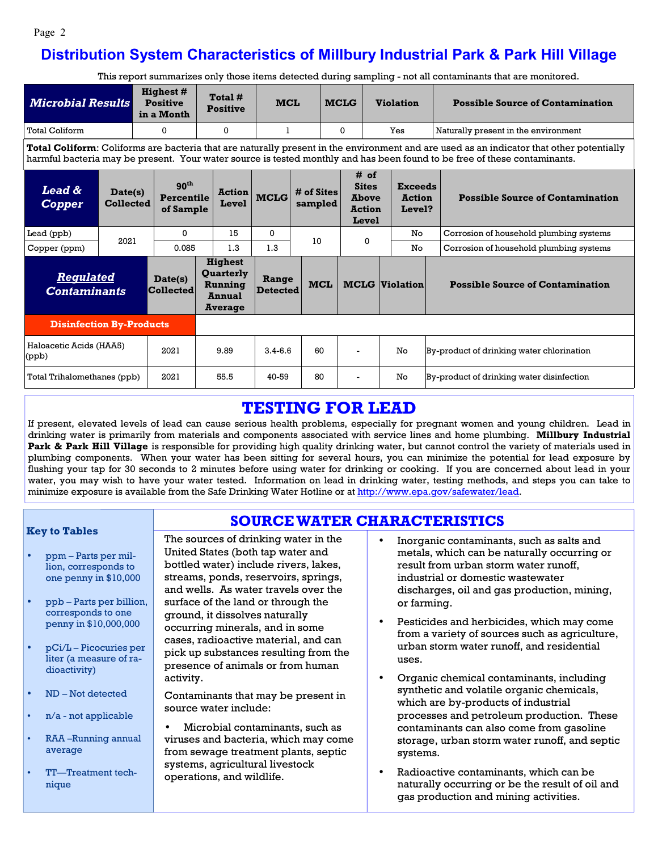#### Page 2

### **Distribution System Characteristics of Millbury Industrial Park & Park Hill Village**

This report summarizes only those items detected during sampling - not all contaminants that are monitored.

| <b>Microbial Results</b>                                                                                                                                                                                                                                              |                             | <b>Highest #</b><br><b>Positive</b><br>in a Month |                                             |              | Total #<br><b>Positive</b>                                                                            | <b>MCL</b>   |                       | <b>MCLG</b> |                                                                | <b>Violation</b> |                                           | <b>Possible Source of Contamination</b>   |  |  |
|-----------------------------------------------------------------------------------------------------------------------------------------------------------------------------------------------------------------------------------------------------------------------|-----------------------------|---------------------------------------------------|---------------------------------------------|--------------|-------------------------------------------------------------------------------------------------------|--------------|-----------------------|-------------|----------------------------------------------------------------|------------------|-------------------------------------------|-------------------------------------------|--|--|
| <b>Total Coliform</b>                                                                                                                                                                                                                                                 |                             | $\Omega$                                          |                                             | $\mathbf{0}$ |                                                                                                       | 1            |                       |             | 0                                                              | Yes              |                                           | Naturally present in the environment      |  |  |
| Total Coliform: Coliforms are bacteria that are naturally present in the environment and are used as an indicator that other potentially<br>harmful bacteria may be present. Your water source is tested monthly and has been found to be free of these contaminants. |                             |                                                   |                                             |              |                                                                                                       |              |                       |             |                                                                |                  |                                           |                                           |  |  |
| <b>Lead &amp;</b><br><b>Copper</b>                                                                                                                                                                                                                                    | Date(s)<br><b>Collected</b> |                                                   | 90 <sup>th</sup><br>Percentile<br>of Sample |              | <b>Action</b><br>Level                                                                                | <b>MCLG</b>  | # of Sites<br>sampled |             | # of<br><b>Sites</b><br><b>Above</b><br><b>Action</b><br>Level |                  | <b>Exceeds</b><br><b>Action</b><br>Level? | <b>Possible Source of Contamination</b>   |  |  |
| Lead (ppb)                                                                                                                                                                                                                                                            | 2021                        |                                                   | $\Omega$<br>0.085                           |              | 15                                                                                                    | $\mathbf{0}$ | 10                    |             | 0                                                              |                  | No                                        | Corrosion of household plumbing systems   |  |  |
| Copper (ppm)                                                                                                                                                                                                                                                          |                             |                                                   |                                             |              | 1.3                                                                                                   | 1.3          |                       |             |                                                                |                  | No                                        | Corrosion of household plumbing systems   |  |  |
| <b>Regulated</b><br><b>Contaminants</b>                                                                                                                                                                                                                               |                             |                                                   | Date(s)<br>Collected                        |              | <b>Highest</b><br>Quarterly<br>Range<br>Running<br><b>Detected</b><br><b>Annual</b><br><b>Average</b> |              |                       | <b>MCL</b>  | <b>MCLG</b> Violation                                          |                  |                                           | <b>Possible Source of Contamination</b>   |  |  |
| <b>Disinfection By-Products</b>                                                                                                                                                                                                                                       |                             |                                                   |                                             |              |                                                                                                       |              |                       |             |                                                                |                  |                                           |                                           |  |  |
| Haloacetic Acids (HAA5)<br>$_{\rm (ppb)}$                                                                                                                                                                                                                             |                             |                                                   | 2021                                        |              | 9.89                                                                                                  | $3.4 - 6.6$  | 60                    |             |                                                                |                  | No                                        | By-product of drinking water chlorination |  |  |
| Total Trihalomethanes (ppb)                                                                                                                                                                                                                                           |                             |                                                   | 2021                                        | 55.5         |                                                                                                       | 40-59        | 80                    |             |                                                                |                  | No                                        | By-product of drinking water disinfection |  |  |

### **TESTING FOR LEAD**

If present, elevated levels of lead can cause serious health problems, especially for pregnant women and young children. Lead in drinking water is primarily from materials and components associated with service lines and home plumbing. **Millbury Industrial**  Park & Park Hill Village is responsible for providing high quality drinking water, but cannot control the variety of materials used in plumbing components. When your water has been sitting for several hours, you can minimize the potential for lead exposure by flushing your tap for 30 seconds to 2 minutes before using water for drinking or cooking. If you are concerned about lead in your water, you may wish to have your water tested. Information on lead in drinking water, testing methods, and steps you can take to minimize exposure is available from the Safe Drinking Water Hotline or at http://www.epa.gov/safewater/lead.

**SOURCE WATER CHARACTERISTICS**

#### **Key to Tables**

- ppm Parts per million, corresponds to one penny in \$10,000
- ppb Parts per billion, corresponds to one penny in \$10,000,000
- pCi/L Picocuries per liter (a measure of radioactivity)
- ND Not detected
- n/a not applicable
- RAA –Running annual average
- TT—Treatment technique

The sources of drinking water in the United States (both tap water and bottled water) include rivers, lakes, streams, ponds, reservoirs, springs, and wells. As water travels over the surface of the land or through the ground, it dissolves naturally occurring minerals, and in some cases, radioactive material, and can pick up substances resulting from the presence of animals or from human activity.

Contaminants that may be present in source water include:

• Microbial contaminants, such as viruses and bacteria, which may come from sewage treatment plants, septic systems, agricultural livestock operations, and wildlife.

- Inorganic contaminants, such as salts and metals, which can be naturally occurring or result from urban storm water runoff, industrial or domestic wastewater discharges, oil and gas production, mining, or farming.
- Pesticides and herbicides, which may come from a variety of sources such as agriculture, urban storm water runoff, and residential uses.
- Organic chemical contaminants, including synthetic and volatile organic chemicals, which are by-products of industrial processes and petroleum production. These contaminants can also come from gasoline storage, urban storm water runoff, and septic systems.
- Radioactive contaminants, which can be naturally occurring or be the result of oil and gas production and mining activities.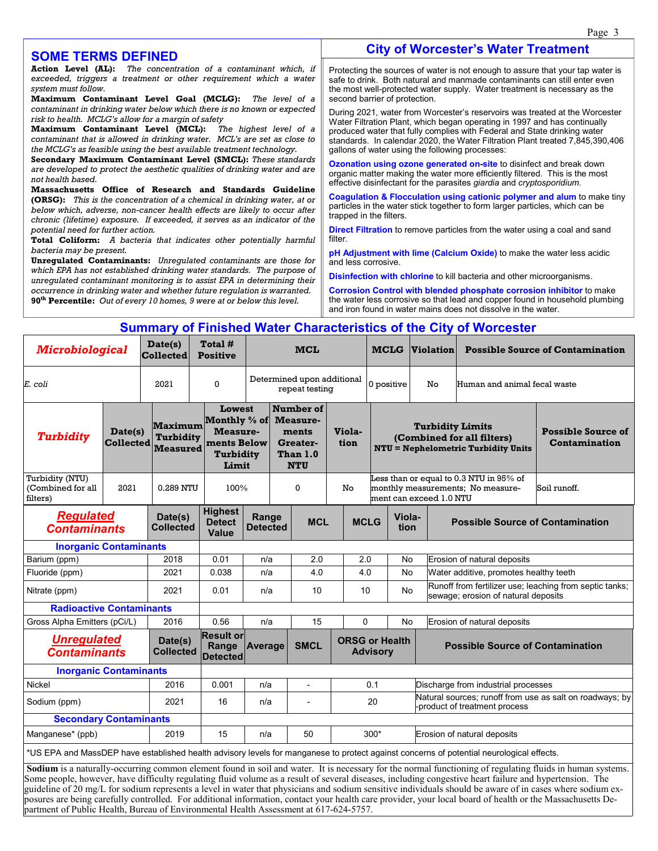#### **City of Worcester's Water Treatment**

#### **SOME TERMS DEFINED**

**Action Level (AL):** *The concentration of a contaminant which, if exceeded, triggers a treatment or other requirement which a water system must follow.*

**Maximum Contaminant Level Goal (MCLG):** *The level of a contaminant in drinking water below which there is no known or expected risk to health. MCLG's allow for a margin of safety*

**Maximum Contaminant Level (MCL):** *The highest level of a contaminant that is allowed in drinking water. MCL's are set as close to the MCLG's as feasible using the best available treatment technology.*

**Secondary Maximum Contaminant Level (SMCL):** *These standards are developed to protect the aesthetic qualities of drinking water and are not health based.*

**Massachusetts Office of Research and Standards Guideline (ORSG):** *This is the concentration of a chemical in drinking water, at or below which, adverse, non-cancer health effects are likely to occur after chronic (lifetime) exposure. If exceeded, it serves as an indicator of the potential need for further action.*

**Total Coliform:** *A bacteria that indicates other potentially harmful bacteria may be present.* 

**Unregulated Contaminants:** *Unregulated contaminants are those for which EPA has not established drinking water standards. The purpose of unregulated contaminant monitoring is to assist EPA in determining their occurrence in drinking water and whether future regulation is warranted.* **90th Percentile:** *Out of every 10 homes, 9 were at or below this level.*

Protecting the sources of water is not enough to assure that your tap water is safe to drink. Both natural and manmade contaminants can still enter even the most well-protected water supply. Water treatment is necessary as the second barrier of protection.

During 2021, water from Worcester's reservoirs was treated at the Worcester Water Filtration Plant, which began operating in 1997 and has continually produced water that fully complies with Federal and State drinking water standards. In calendar 2020, the Water Filtration Plant treated 7,845,390,406 gallons of water using the following processes:

**Ozonation using ozone generated on-site** to disinfect and break down organic matter making the water more efficiently filtered. This is the most effective disinfectant for the parasites *giardia* and *cryptosporidium*.

**Coagulation & Flocculation using cationic polymer and alum** to make tiny particles in the water stick together to form larger particles, which can be trapped in the filters.

**Direct Filtration** to remove particles from the water using a coal and sand filter

**pH Adjustment with lime (Calcium Oxide)** to make the water less acidic and less corrosive.

**Disinfection with chlorine** to kill bacteria and other microorganisms.

**Corrosion Control with blended phosphate corrosion inhibitor** to make the water less corrosive so that lead and copper found in household plumbing and iron found in water mains does not dissolve in the water.

#### **Summary of Finished Water Characteristics of the City of Worcester**

| <b>Microbiological</b>                           |                             | Date(s)<br><b>Collected</b>                    | Total #<br><b>Positive</b>                                                     |                                                       |                                                                      |             | <b>MCL</b>                               |             |            |                                                                                           | <b>Violation</b>                                                                                    |                                                                                                                                          | <b>Possible Source of Contamination</b>    |
|--------------------------------------------------|-----------------------------|------------------------------------------------|--------------------------------------------------------------------------------|-------------------------------------------------------|----------------------------------------------------------------------|-------------|------------------------------------------|-------------|------------|-------------------------------------------------------------------------------------------|-----------------------------------------------------------------------------------------------------|------------------------------------------------------------------------------------------------------------------------------------------|--------------------------------------------|
| E. coli                                          |                             | 2021                                           | $\Omega$                                                                       |                                                       | Determined upon additional<br>repeat testing                         |             |                                          |             | 0 positive |                                                                                           | No                                                                                                  | Human and animal fecal waste                                                                                                             |                                            |
| <b>Turbidity</b>                                 | Date(s)<br><b>Collected</b> | Maximum<br><b>Turbidity</b><br><b>Measured</b> | <b>Lowest</b><br>Monthly % of<br>Measure-<br>ments Below<br>Turbidity<br>Limit |                                                       | Number of<br>Measure-<br>ments<br>Greater-<br>Than 1.0<br><b>NTU</b> |             | Viola-<br>tion                           |             |            |                                                                                           | <b>Turbidity Limits</b><br>(Combined for all filters)<br><b>NTU = Nephelometric Turbidity Units</b> |                                                                                                                                          | <b>Possible Source of</b><br>Contamination |
| Turbidity (NTU)<br>(Combined for all<br>filters) | 2021                        | 0.289 NTU                                      | 100%                                                                           |                                                       |                                                                      | $\Omega$    | No                                       |             |            |                                                                                           | ment can exceed 1.0 NTU                                                                             | Less than or equal to 0.3 NTU in 95% of<br>monthly measurements; No measure-                                                             | Soil runoff.                               |
| <b>Regulated</b><br><b>Contaminants</b>          |                             | Date(s)<br><b>Collected</b>                    | <b>Highest</b><br><b>Detect</b><br>Value                                       | Range<br><b>Detected</b>                              |                                                                      | <b>MCL</b>  |                                          | <b>MCLG</b> | tion       | Viola-                                                                                    | <b>Possible Source of Contamination</b>                                                             |                                                                                                                                          |                                            |
| <b>Inorganic Contaminants</b>                    |                             |                                                |                                                                                |                                                       |                                                                      |             |                                          |             |            |                                                                                           |                                                                                                     |                                                                                                                                          |                                            |
| Barium (ppm)                                     |                             | 2018                                           | 0.01                                                                           | n/a                                                   |                                                                      | 2.0         | 2.0                                      |             |            | No                                                                                        |                                                                                                     | Erosion of natural deposits                                                                                                              |                                            |
| Fluoride (ppm)                                   |                             | 2021                                           | 0.038                                                                          | n/a                                                   |                                                                      | 4.0         |                                          | 4.0         | <b>No</b>  |                                                                                           |                                                                                                     | Water additive, promotes healthy teeth                                                                                                   |                                            |
| Nitrate (ppm)                                    |                             | 2021                                           | 0.01                                                                           | n/a                                                   |                                                                      | 10          | 10                                       |             | <b>No</b>  |                                                                                           |                                                                                                     | Runoff from fertilizer use; leaching from septic tanks;<br>sewage; erosion of natural deposits                                           |                                            |
| <b>Radioactive Contaminants</b>                  |                             |                                                |                                                                                |                                                       |                                                                      |             |                                          |             |            |                                                                                           |                                                                                                     |                                                                                                                                          |                                            |
| Gross Alpha Emitters (pCi/L)                     |                             | 2016                                           | 0.56                                                                           | n/a                                                   | 15                                                                   |             | $\Omega$                                 |             | <b>No</b>  |                                                                                           | Erosion of natural deposits                                                                         |                                                                                                                                          |                                            |
| <b>Unregulated</b><br><b>Contaminants</b>        |                             | Date(s)<br><b>Collected</b>                    | Range                                                                          | <b>Result or</b><br><b>Average</b><br><b>Detected</b> |                                                                      | <b>SMCL</b> | <b>ORSG or Health</b><br><b>Advisory</b> |             |            |                                                                                           | <b>Possible Source of Contamination</b>                                                             |                                                                                                                                          |                                            |
| <b>Inorganic Contaminants</b>                    |                             |                                                |                                                                                |                                                       |                                                                      |             |                                          |             |            |                                                                                           |                                                                                                     |                                                                                                                                          |                                            |
| Nickel                                           | 2016                        | 0.001                                          | n/a                                                                            |                                                       | $\overline{a}$                                                       | 0.1         |                                          |             |            | Discharge from industrial processes                                                       |                                                                                                     |                                                                                                                                          |                                            |
| Sodium (ppm)                                     |                             | 2021                                           | 16                                                                             | n/a                                                   |                                                                      |             | 20                                       |             |            | Natural sources; runoff from use as salt on roadways; by<br>-product of treatment process |                                                                                                     |                                                                                                                                          |                                            |
| <b>Secondary Contaminants</b>                    |                             |                                                |                                                                                |                                                       |                                                                      |             |                                          |             |            |                                                                                           |                                                                                                     |                                                                                                                                          |                                            |
| Manganese* (ppb)                                 | 2019                        | 15                                             | n/a                                                                            |                                                       | 50                                                                   | $300*$      |                                          |             |            | Erosion of natural deposits                                                               |                                                                                                     |                                                                                                                                          |                                            |
|                                                  |                             |                                                |                                                                                |                                                       |                                                                      |             |                                          |             |            |                                                                                           |                                                                                                     | *US EPA and MassDEP have established health advisory levels for manganese to protect against concerns of potential neurological effects. |                                            |

**Sodium** is a naturally-occurring common element found in soil and water. It is necessary for the normal functioning of regulating fluids in human systems. Some people, however, have difficulty regulating fluid volume as a result of several diseases, including congestive heart failure and hypertension. The guideline of 20 mg/L for sodium represents a level in water that physicians and sodium sensitive individuals should be aware of in cases where sodium exposures are being carefully controlled. For additional information, contact your health care provider, your local board of health or the Massachusetts Department of Public Health, Bureau of Environmental Health Assessment at 617-624-5757.